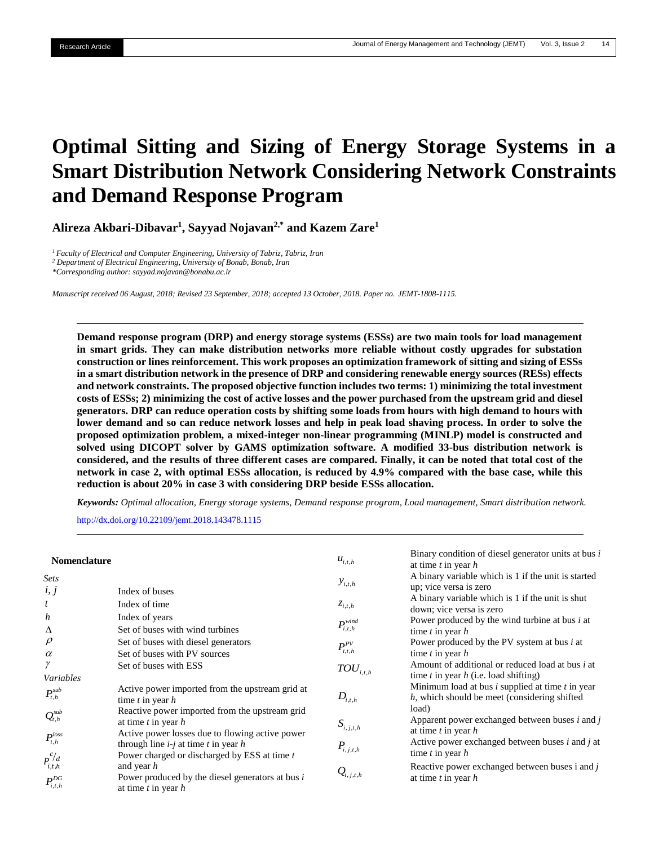# **Optimal Sitting and Sizing of Energy Storage Systems in a Smart Distribution Network Considering Network Constraints and Demand Response Program**

**Alireza Akbari-Dibavar<sup>1</sup> , Sayyad Nojavan2,\* and Kazem Zare<sup>1</sup>**

*<sup>1</sup> Faculty of Electrical and Computer Engineering, University of Tabriz, Tabriz, Iran <sup>2</sup> Department of Electrical Engineering, University of Bonab, Bonab, Iran \*Corresponding author: sayyad.nojavan@bonabu.ac.ir*

*Manuscript received 06 August, 2018; Revised 23 September, 2018; accepted 13 October, 2018. Paper no. JEMT-1808-1115.*

**Demand response program (DRP) and energy storage systems (ESSs) are two main tools for load management in smart grids. They can make distribution networks more reliable without costly upgrades for substation construction or lines reinforcement. This work proposes an optimization framework of sitting and sizing of ESSs in a smart distribution network in the presence of DRP and considering renewable energy sources (RESs) effects and network constraints. The proposed objective function includes two terms: 1) minimizing the total investment costs of ESSs; 2) minimizing the cost of active losses and the power purchased from the upstream grid and diesel generators. DRP can reduce operation costs by shifting some loads from hours with high demand to hours with lower demand and so can reduce network losses and help in peak load shaving process. In order to solve the proposed optimization problem, a mixed-integer non-linear programming (MINLP) model is constructed and solved using DICOPT solver by GAMS optimization software. A modified 33-bus distribution network is considered, and the results of three different cases are compared. Finally, it can be noted that total cost of the network in case 2, with optimal ESSs allocation, is reduced by 4.9% compared with the base case, while this reduction is about 20% in case 3 with considering DRP beside ESSs allocation.** 

*Keywords: Optimal allocation, Energy storage systems, Demand response program, Load management, Smart distribution network.*

<http://dx.doi.org/10.22109/jemt.2018.143478.1115>

| <b>Nomenclature</b>                   |                                                                                                                              | $u_{i,t,h}$                       | Binary condition of diesel generator units at bus $i$<br>at time $t$ in year $h$                                 |
|---------------------------------------|------------------------------------------------------------------------------------------------------------------------------|-----------------------------------|------------------------------------------------------------------------------------------------------------------|
| <b>Sets</b><br>i, j                   | Index of buses                                                                                                               | $y_{i,t,h}$                       | A binary variable which is 1 if the unit is started<br>up; vice versa is zero                                    |
| $\boldsymbol{t}$                      | Index of time                                                                                                                | $z_{i,t,h}$                       | A binary variable which is 1 if the unit is shut<br>down; vice versa is zero                                     |
| h<br>Δ                                | Index of years<br>Set of buses with wind turbines                                                                            | $P_{i,t,h}^{wind}$                | Power produced by the wind turbine at bus $i$ at<br>time $t$ in year $h$                                         |
| $\rho$<br>$\alpha$                    | Set of buses with diesel generators<br>Set of buses with PV sources                                                          | $P_{i,t,h}^{PV}$                  | Power produced by the PV system at bus <i>i</i> at<br>time $t$ in year $h$                                       |
| γ<br>Variables                        | Set of buses with ESS                                                                                                        | $TOU^{\phantom{\dagger}}_{i,t,h}$ | Amount of additional or reduced load at bus <i>i</i> at<br>time t in year $h$ (i.e. load shifting)               |
| $P_{t,h}^{sub}$                       | Active power imported from the upstream grid at<br>time $t$ in year $h$                                                      | $D_{\!i,t,h}$                     | Minimum load at bus $i$ supplied at time $t$ in year<br>$h$ , which should be meet (considering shifted<br>load) |
| $Q_{t,h}^{sub}$                       | Reactive power imported from the upstream grid<br>at time $t$ in year $h$<br>Active power losses due to flowing active power | $S_{i,j,t,h}$                     | Apparent power exchanged between buses $i$ and $j$<br>at time $t$ in year $h$                                    |
| $P_{t,h}^{loss}$                      | through line $i$ -j at time t in year h<br>Power charged or discharged by ESS at time t                                      | $P_{i,j,t,h}$                     | Active power exchanged between buses $i$ and $j$ at<br>time $t$ in year $h$                                      |
| $P_{i,t,h}^{c/d}$<br>$P_{i,t,h}^{DG}$ | and year $h$<br>Power produced by the diesel generators at bus i<br>at time $t$ in year $h$                                  | $Q_{i,j,t,h}$                     | Reactive power exchanged between buses $i$ and $j$<br>at time $t$ in year $h$                                    |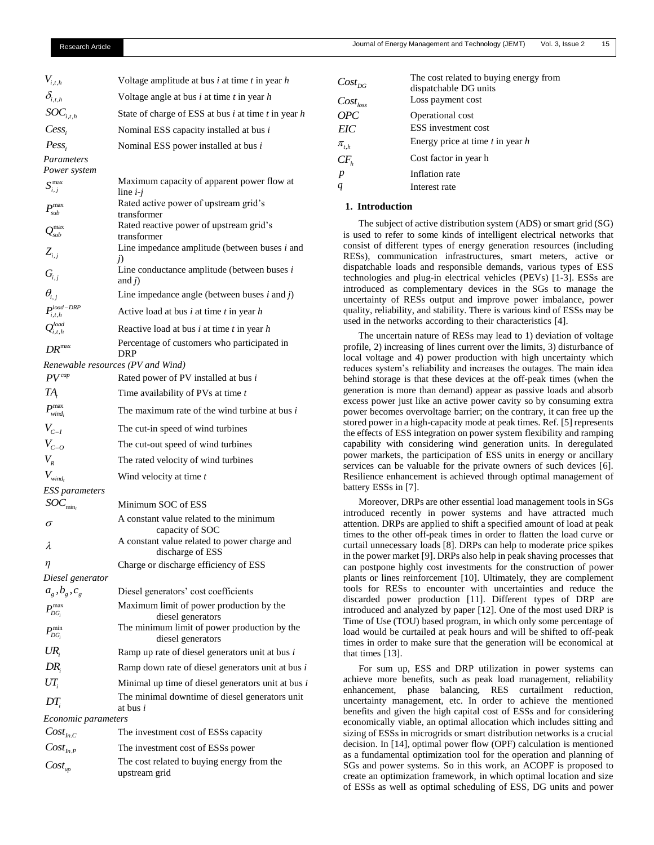| $V_{\scriptscriptstyle i,t,h}$      | Voltage amplitude at bus $i$ at time $t$ in year $h$                     |
|-------------------------------------|--------------------------------------------------------------------------|
| $\delta_{i,t,h}$                    | Voltage angle at bus $i$ at time $t$ in year $h$                         |
| $SOC_{i,t,h}$                       | State of charge of ESS at bus <i>i</i> at time <i>t</i> in year <i>h</i> |
| Cess                                | Nominal ESS capacity installed at bus i                                  |
| $Pess_i$                            | Nominal ESS power installed at bus i                                     |
| Parameters                          |                                                                          |
| Power system                        |                                                                          |
| $S_{i,j}^{\max}$                    | Maximum capacity of apparent power flow at<br>line $i-j$                 |
| $P_{sub}^{\max}$                    | Rated active power of upstream grid's<br>transformer                     |
| $\mathcal{Q}^{\max}_{\textit{sub}}$ | Rated reactive power of upstream grid's<br>transformer                   |
| $Z_{i,j}$                           | Line impedance amplitude (between buses $i$ and<br>j)                    |
| $G_{i,j}$                           | Line conductance amplitude (between buses $i$<br>and $\hat{i}$ )         |
| $\theta_{i,i}$                      | Line impedance angle (between buses $i$ and $j$ )                        |
| $P_{i,t,h}^{load-DRP}$              | Active load at bus $i$ at time $t$ in year $h$                           |
| $\mathcal{Q}_{i,t,h}^{load}$        | Reactive load at bus $i$ at time $t$ in year $h$                         |
| $DR^{max}$                          | Percentage of customers who participated in<br>DRP                       |
| Renewable resources (PV and Wind)   |                                                                          |
| $PV^{cap}$                          | Rated power of PV installed at bus i                                     |
| TA,                                 | Time availability of PVs at time t                                       |
| $P_{wind_i}^{max}$                  | The maximum rate of the wind turbine at bus i                            |
| $V_{C-I}$                           | The cut-in speed of wind turbines                                        |
| $V_{C-O}$                           | The cut-out speed of wind turbines                                       |
| $V_{R}$                             | The rated velocity of wind turbines                                      |
| $V_{wind_t}$                        | Wind velocity at time t                                                  |
| ESS parameters                      |                                                                          |
| $SOC_{\min_i}$                      | Minimum SOC of ESS                                                       |
| σ                                   | A constant value related to the minimum<br>capacity of SOC               |
| λ                                   | A constant value related to power charge and<br>discharge of ESS         |
| η                                   | Charge or discharge efficiency of ESS                                    |
| Diesel generator                    |                                                                          |
| $a_{g}$ , $b_{g}$ , $c_{g}$         | Diesel generators' cost coefficients                                     |
| $P_{DG_i}^{max}$                    | Maximum limit of power production by the<br>diesel generators            |
| $P_{DG_i}^{\min}$                   | The minimum limit of power production by the<br>diesel generators        |
| UR,                                 | Ramp up rate of diesel generators unit at bus $i$                        |
| $DR_i$                              | Ramp down rate of diesel generators unit at bus $i$                      |
| $UT_i$                              | Minimal up time of diesel generators unit at bus i                       |
| DT,                                 | The minimal downtime of diesel generators unit<br>at bus <i>i</i>        |
| <i>Economic parameters</i>          |                                                                          |
| $Cost_{inc}$                        | The investment cost of ESSs capacity                                     |
| $Cost_{ln.P}$                       | The investment cost of ESSs power                                        |
| $Cost_{up}$                         | The cost related to buying energy from the<br>upstream grid              |

| $Cost_{DG}$   | The cost related to buying energy from<br>dispatchable DG units |
|---------------|-----------------------------------------------------------------|
| $Cost_{loss}$ | Loss payment cost                                               |
| OPC           | Operational cost                                                |
| EIC           | <b>ESS</b> investment cost                                      |
| $\pi_{t,h}$   | Energy price at time $t$ in year $h$                            |
| $CF_{h}$      | Cost factor in year h                                           |
| p             | Inflation rate                                                  |
|               | Interest rate                                                   |

## **1. Introduction**

The subject of active distribution system (ADS) or smart grid (SG) is used to refer to some kinds of intelligent electrical networks that consist of different types of energy generation resources (including RESs), communication infrastructures, smart meters, active or dispatchable loads and responsible demands, various types of ESS technologies and plug-in electrical vehicles (PEVs) [1-3]. ESSs are introduced as complementary devices in the SGs to manage the uncertainty of RESs output and improve power imbalance, power quality, reliability, and stability. There is various kind of ESSs may be used in the networks according to their characteristics [4].

The uncertain nature of RESs may lead to 1) deviation of voltage profile, 2) increasing of lines current over the limits, 3) disturbance of local voltage and 4) power production with high uncertainty which reduces system's reliability and increases the outages. The main idea behind storage is that these devices at the off-peak times (when the generation is more than demand) appear as passive loads and absorb excess power just like an active power cavity so by consuming extra power becomes overvoltage barrier; on the contrary, it can free up the stored power in a high-capacity mode at peak times. Ref. [5] represents the effects of ESS integration on power system flexibility and ramping capability with considering wind generation units. In deregulated power markets, the participation of ESS units in energy or ancillary services can be valuable for the private owners of such devices [6]. Resilience enhancement is achieved through optimal management of battery ESSs in [7].

Moreover, DRPs are other essential load management tools in SGs introduced recently in power systems and have attracted much attention. DRPs are applied to shift a specified amount of load at peak times to the other off-peak times in order to flatten the load curve or curtail unnecessary loads [8]. DRPs can help to moderate price spikes in the power market [9]. DRPs also help in peak shaving processes that can postpone highly cost investments for the construction of power plants or lines reinforcement [10]. Ultimately, they are complement tools for RESs to encounter with uncertainties and reduce the discarded power production [11]. Different types of DRP are introduced and analyzed by paper [12]. One of the most used DRP is Time of Use (TOU) based program, in which only some percentage of load would be curtailed at peak hours and will be shifted to off-peak times in order to make sure that the generation will be economical at that times [13].

For sum up, ESS and DRP utilization in power systems can achieve more benefits, such as peak load management, reliability enhancement, phase balancing, RES curtailment reduction, uncertainty management, etc. In order to achieve the mentioned benefits and given the high capital cost of ESSs and for considering economically viable, an optimal allocation which includes sitting and sizing of ESSs in microgrids or smart distribution networks is a crucial decision. In [14], optimal power flow (OPF) calculation is mentioned as a fundamental optimization tool for the operation and planning of SGs and power systems. So in this work, an ACOPF is proposed to create an optimization framework, in which optimal location and size of ESSs as well as optimal scheduling of ESS, DG units and power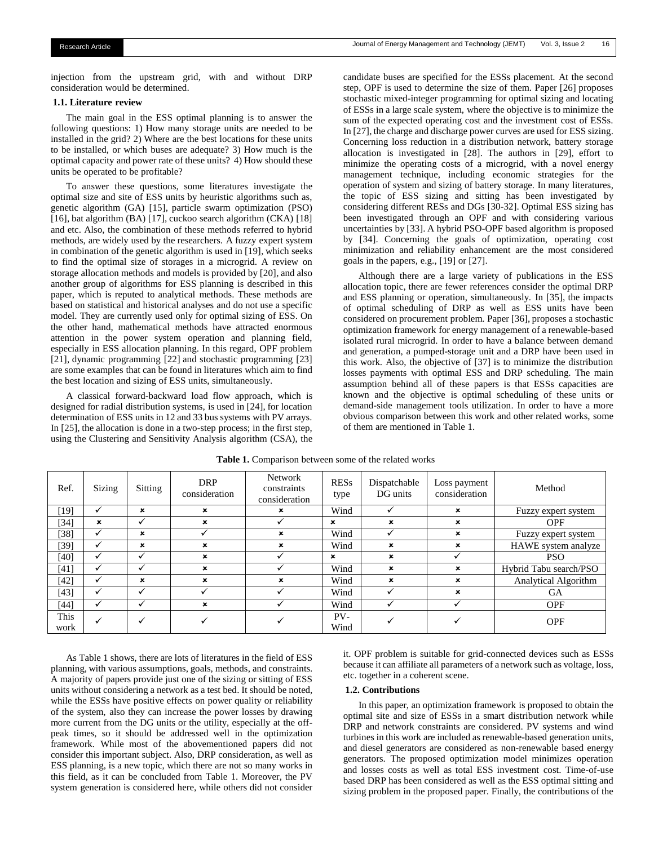injection from the upstream grid, with and without DRP consideration would be determined.

#### **1.1. Literature review**

The main goal in the ESS optimal planning is to answer the following questions: 1) How many storage units are needed to be installed in the grid? 2) Where are the best locations for these units to be installed, or which buses are adequate? 3) How much is the optimal capacity and power rate of these units? 4) How should these units be operated to be profitable?

To answer these questions, some literatures investigate the optimal size and site of ESS units by heuristic algorithms such as, genetic algorithm (GA) [15], particle swarm optimization (PSO) [16], bat algorithm (BA) [17], cuckoo search algorithm (CKA) [18] and etc. Also, the combination of these methods referred to hybrid methods, are widely used by the researchers. A fuzzy expert system in combination of the genetic algorithm is used in [19], which seeks to find the optimal size of storages in a microgrid. A review on storage allocation methods and models is provided by [20], and also another group of algorithms for ESS planning is described in this paper, which is reputed to analytical methods. These methods are based on statistical and historical analyses and do not use a specific model. They are currently used only for optimal sizing of ESS. On the other hand, mathematical methods have attracted enormous attention in the power system operation and planning field, especially in ESS allocation planning. In this regard, OPF problem [21], dynamic programming [22] and stochastic programming [23] are some examples that can be found in literatures which aim to find the best location and sizing of ESS units, simultaneously.

A classical forward-backward load flow approach, which is designed for radial distribution systems, is used in [24], for location determination of ESS units in 12 and 33 bus systems with PV arrays. In [25], the allocation is done in a two-step process; in the first step, using the Clustering and Sensitivity Analysis algorithm (CSA), the candidate buses are specified for the ESSs placement. At the second step, OPF is used to determine the size of them. Paper [26] proposes stochastic mixed-integer programming for optimal sizing and locating of ESSs in a large scale system, where the objective is to minimize the sum of the expected operating cost and the investment cost of ESSs. In [27], the charge and discharge power curves are used for ESS sizing. Concerning loss reduction in a distribution network, battery storage allocation is investigated in [28]. The authors in [29], effort to minimize the operating costs of a microgrid, with a novel energy management technique, including economic strategies for the operation of system and sizing of battery storage. In many literatures, the topic of ESS sizing and sitting has been investigated by considering different RESs and DGs [30-32]. Optimal ESS sizing has been investigated through an OPF and with considering various uncertainties by [33]. A hybrid PSO-OPF based algorithm is proposed by [34]. Concerning the goals of optimization, operating cost minimization and reliability enhancement are the most considered goals in the papers, e.g., [19] or [27].

Although there are a large variety of publications in the ESS allocation topic, there are fewer references consider the optimal DRP and ESS planning or operation, simultaneously. In [35], the impacts of optimal scheduling of DRP as well as ESS units have been considered on procurement problem. Paper [36], proposes a stochastic optimization framework for energy management of a renewable-based isolated rural microgrid. In order to have a balance between demand and generation, a pumped-storage unit and a DRP have been used in this work. Also, the objective of [37] is to minimize the distribution losses payments with optimal ESS and DRP scheduling. The main assumption behind all of these papers is that ESSs capacities are known and the objective is optimal scheduling of these units or demand-side management tools utilization. In order to have a more obvious comparison between this work and other related works, some of them are mentioned in Table 1.

| Ref.         | Sizing       | Sitting                   | <b>DRP</b><br>consideration | <b>Network</b><br>constraints<br>consideration | <b>RESs</b><br>type | Dispatchable<br>DG units | Loss payment<br>consideration | Method                 |
|--------------|--------------|---------------------------|-----------------------------|------------------------------------------------|---------------------|--------------------------|-------------------------------|------------------------|
| [19]         | ✓            | $\boldsymbol{\mathsf{x}}$ | ×                           | ×                                              | Wind                | $\checkmark$             | ×                             | Fuzzy expert system    |
| [34]         | $\mathbf x$  | ✓                         | $\mathbf x$                 |                                                | $\mathbf{x}$        | $\mathbf{x}$             | $\mathbf x$                   | <b>OPF</b>             |
| [38]         | ✓            | $\boldsymbol{\mathsf{x}}$ |                             | ×                                              | Wind                |                          | $\mathbf x$                   | Fuzzy expert system    |
| [39]         | ✓            | $\boldsymbol{\mathsf{x}}$ | $\boldsymbol{\mathsf{x}}$   | ×                                              | Wind                | ×                        | ×                             | HAWE system analyze    |
| [40]         | ✓            |                           | ×                           |                                                | $\mathbf{x}$        | $\mathbf{x}$             |                               | <b>PSO</b>             |
| [41]         | ✓            |                           | $\mathbf x$                 |                                                | Wind                | ×                        | $\mathbf x$                   | Hybrid Tabu search/PSO |
| $[42]$       | ✓            | $\boldsymbol{\mathsf{x}}$ | $\boldsymbol{\mathsf{x}}$   | ×                                              | Wind                | ×                        | ×                             | Analytical Algorithm   |
| $[43]$       | ✓            | $\checkmark$              | w                           |                                                | Wind                |                          | $\mathbf{x}$                  | <b>GA</b>              |
| [44]         | ✓            | $\checkmark$              | $\boldsymbol{\mathsf{x}}$   |                                                | Wind                |                          |                               | <b>OPF</b>             |
| This<br>work | $\checkmark$ | $\checkmark$              |                             |                                                | PV-<br>Wind         |                          |                               | <b>OPF</b>             |

Table 1. Comparison between some of the related works

As Table 1 shows, there are lots of literatures in the field of ESS planning, with various assumptions, goals, methods, and constraints. A majority of papers provide just one of the sizing or sitting of ESS units without considering a network as a test bed. It should be noted, while the ESSs have positive effects on power quality or reliability of the system, also they can increase the power losses by drawing more current from the DG units or the utility, especially at the offpeak times, so it should be addressed well in the optimization framework. While most of the abovementioned papers did not consider this important subject. Also, DRP consideration, as well as ESS planning, is a new topic, which there are not so many works in this field, as it can be concluded from Table 1. Moreover, the PV system generation is considered here, while others did not consider it. OPF problem is suitable for grid-connected devices such as ESSs because it can affiliate all parameters of a network such as voltage, loss, etc. together in a coherent scene.

## **1.2. Contributions**

In this paper, an optimization framework is proposed to obtain the optimal site and size of ESSs in a smart distribution network while DRP and network constraints are considered. PV systems and wind turbines in this work are included as renewable-based generation units, and diesel generators are considered as non-renewable based energy generators. The proposed optimization model minimizes operation and losses costs as well as total ESS investment cost. Time-of-use based DRP has been considered as well as the ESS optimal sitting and sizing problem in the proposed paper. Finally, the contributions of the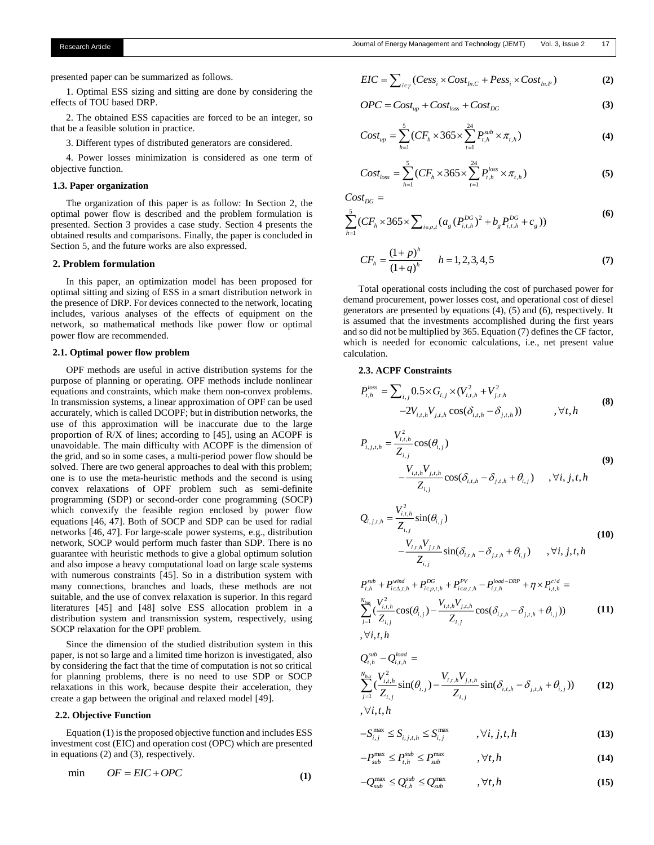presented paper can be summarized as follows.

1. Optimal ESS sizing and sitting are done by considering the effects of TOU based DRP.

2. The obtained ESS capacities are forced to be an integer, so that be a feasible solution in practice.

3. Different types of distributed generators are considered.

4. Power losses minimization is considered as one term of objective function.

## **1.3. Paper organization**

The organization of this paper is as follow: In Section 2, the optimal power flow is described and the problem formulation is presented. Section 3 provides a case study. Section 4 presents the obtained results and comparisons. Finally, the paper is concluded in Section 5, and the future works are also expressed.

## **2. Problem formulation**

In this paper, an optimization model has been proposed for optimal sitting and sizing of ESS in a smart distribution network in the presence of DRP. For devices connected to the network, locating includes, various analyses of the effects of equipment on the network, so mathematical methods like power flow or optimal power flow are recommended.

#### **2.1. Optimal power flow problem**

OPF methods are useful in active distribution systems for the purpose of planning or operating. OPF methods include nonlinear equations and constraints, which make them non-convex problems. In transmission systems, a linear approximation of OPF can be used accurately, which is called DCOPF; but in distribution networks, the use of this approximation will be inaccurate due to the large proportion of R/X of lines; according to [45], using an ACOPF is unavoidable. The main difficulty with ACOPF is the dimension of the grid, and so in some cases, a multi-period power flow should be solved. There are two general approaches to deal with this problem; one is to use the meta-heuristic methods and the second is using convex relaxations of OPF problem such as semi-definite programming (SDP) or second-order cone programming (SOCP) which convexify the feasible region enclosed by power flow equations [46, 47]. Both of SOCP and SDP can be used for radial networks [46, 47]. For large-scale power systems, e.g., distribution network, SOCP would perform much faster than SDP. There is no guarantee with heuristic methods to give a global optimum solution and also impose a heavy computational load on large scale systems with numerous constraints [45]. So in a distribution system with many connections, branches and loads, these methods are not suitable, and the use of convex relaxation is superior. In this regard literatures [45] and [48] solve ESS allocation problem in a distribution system and transmission system, respectively, using SOCP relaxation for the OPF problem.

Since the dimension of the studied distribution system in this paper, is not so large and a limited time horizon is investigated, also by considering the fact that the time of computation is not so critical for planning problems, there is no need to use SDP or SOCP relaxations in this work, because despite their acceleration, they create a gap between the original and relaxed model [49].

## **2.2. Objective Function**

Equation (1) is the proposed objective function and includes ESS investment cost (EIC) and operation cost (OPC) which are presented in equations (2) and (3), respectively.

$$
\text{min} \qquad OF = EIC + OPC \tag{1}
$$

$$
EIC = \sum_{i \in \gamma} (Cess_i \times Cost_{in.C} + Pess_i \times Cost_{in.P})
$$
 (2)

$$
OPC = Cost_{up} + Cost_{loss} + Cost_{DG}
$$
 (3)

$$
Cost_{up} = \sum_{h=1}^{5} (CF_h \times 365 \times \sum_{t=1}^{24} P_{t,h}^{sub} \times \pi_{t,h})
$$
(4)

$$
Cost_{loss} = \sum_{h=1}^{5} (CF_h \times 365 \times \sum_{t=1}^{24} P_{t,h}^{loss} \times \pi_{t,h})
$$
 (5)

 $Cost_{DG} =$ 

$$
\sum_{h=1}^{5} (CF_h \times 365 \times \sum_{i \in \rho, t} (a_g (P_{i,t,h}^{DG})^2 + b_g P_{i,t,h}^{DG} + c_g))
$$
\n(6)

$$
CF_h = \frac{(1+p)^h}{(1+q)^h} \qquad h = 1, 2, 3, 4, 5 \tag{7}
$$

Total operational costs including the cost of purchased power for demand procurement, power losses cost, and operational cost of diesel generators are presented by equations (4), (5) and (6), respectively. It is assumed that the investments accomplished during the first years and so did not be multiplied by 365. Equation (7) defines the CF factor, which is needed for economic calculations, i.e., net present value calculation.

## **2.3. ACPF Constraints**

$$
P_{t,h}^{loss} = \sum_{i,j} 0.5 \times G_{i,j} \times (V_{i,t,h}^2 + V_{j,t,h}^2 -2V_{i,t,h}V_{j,t,h} \cos(\delta_{i,t,h} - \delta_{j,t,h})) \qquad , \forall t, h
$$
 (8)

$$
P_{i,j,t,h} = \frac{V_{i,t,h}^2}{Z_{i,j}} \cos(\theta_{i,j})
$$
  
 
$$
-\frac{V_{i,t,h}V_{j,t,h}}{Z_{i,j}} \cos(\delta_{i,t,h} - \delta_{j,t,h} + \theta_{i,j}) \quad , \forall i, j, t, h
$$
 (9)

$$
Q_{i,j,t,h} = \frac{V_{i,t,h}^2}{Z_{i,j}} \sin(\theta_{i,j})
$$
  
 
$$
-\frac{V_{i,t,h}V_{j,t,h}}{Z_{i,j}} \sin(\delta_{i,t,h} - \delta_{j,t,h} + \theta_{i,j}) \qquad , \forall i, j, t, h
$$
 (10)

$$
P_{t,h}^{sub} + P_{i \in \Delta, t,h}^{wind} + P_{i \in \rho, t,h}^{DG} + P_{i \in \alpha, t,h}^{PV} - P_{i,t,h}^{load - DRP} + \eta \times P_{i,t,h}^{c/d} =
$$
  

$$
\sum_{j=1}^{N_{bus}} \frac{V_{i,t,h}^2}{Z_{i,j}} \cos(\theta_{i,j}) - \frac{V_{i,t,h} V_{j,t,h}}{Z_{i,j}} \cos(\delta_{i,t,h} - \delta_{j,t,h} + \theta_{i,j}))
$$
(11)  

$$
\forall i, t, h
$$

$$
Q_{i,h}^{sub} - Q_{i,i,h}^{load} =
$$
  
\n
$$
\sum_{j=1}^{N_{bus}} \left( \frac{V_{i,i,h}^{2}}{Z_{i,j}} \sin(\theta_{i,j}) - \frac{V_{i,i,h} V_{j,i,h}}{Z_{i,j}} \sin(\delta_{i,i,h} - \delta_{j,i,h} + \theta_{i,j}) \right)
$$
(12)  
\n
$$
\forall i, t, h
$$

$$
-S_{i,j}^{\max} \le S_{i,j,t,h} \le S_{i,j}^{\max} \qquad , \forall i, j, t, h \qquad (13)
$$

$$
-P_{sub}^{\max} \le P_{t,h}^{sub} \le P_{sub}^{\max} \qquad , \forall t,h \qquad (14)
$$

$$
-Q_{sub}^{\max} \le Q_{t,h}^{sub} \le Q_{sub}^{\max} \qquad , \forall t,h \qquad (15)
$$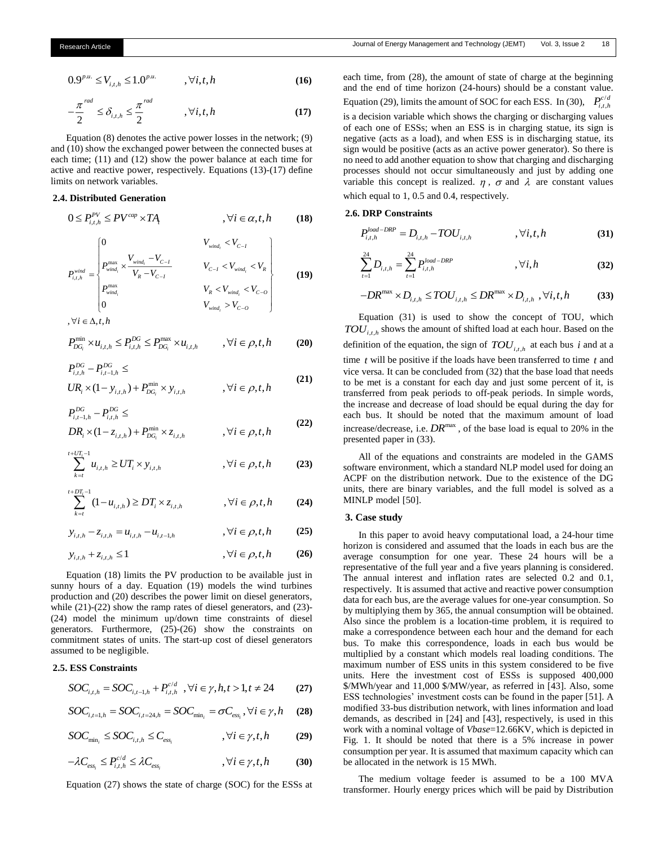$$
0.9^{p.u.} \le V_{i,t,h} \le 1.0^{p.u.} \qquad , \forall i,t,h \tag{16}
$$

$$
-\frac{\pi^{rad}}{2} \le \delta_{i,t,h} \le \frac{\pi^{rad}}{2} \qquad , \forall i,t,h \tag{17}
$$

Equation (8) denotes the active power losses in the network; (9) and (10) show the exchanged power between the connected buses at each time; (11) and (12) show the power balance at each time for active and reactive power, respectively. Equations (13)-(17) define limits on network variables.

# **2.4. Distributed Generation**

$$
0 \le P_{i,t,h}^{PV} \le PV^{cap} \times TA_t, \qquad , \forall i \in \alpha, t, h \qquad (18)
$$

$$
P_{i,t,h}^{wind} = \begin{cases} 0 & V_{wind_i} < V_{C-I} \\ P_{wind_i}^{max} \times \frac{V_{wind_i} - V_{C-I}}{V_R - V_{C-I}} & V_{C-I} < V_{wind_i} < V_R \\ P_{wind_i}^{max} & V_R < V_{wind_i} < V_{C-O} \\ 0 & V_{wind_i} > V_{C-O} \end{cases} \tag{19}
$$

$$
,\forall i\in\Delta,t,h
$$

$$
P_{DG_i}^{\min} \times u_{i,t,h} \le P_{i,t,h}^{DG} \le P_{DG_i}^{\max} \times u_{i,t,h} \qquad , \forall i \in \rho, t, h \qquad (20)
$$

$$
P_{i,t,h}^{DG} - P_{i,t-1,h}^{DG} \le
$$
  
\n
$$
UR_i \times (1 - y_{i,t,h}) + P_{DG_i}^{\min} \times y_{i,t,h} \qquad , \forall i \in \rho, t, h
$$
\n(21)

$$
P_{i,t-1,h}^{DG} - P_{i,t,h}^{DG} \le
$$
  
\n
$$
DR_i \times (1 - z_{i,t,h}) + P_{DG_i}^{\min} \times z_{i,t,h} \qquad , \forall i \in \rho, t, h
$$
\n(22)

$$
\sum_{k=t}^{t+UT_i-1} u_{i,t,h} \ge UT_i \times y_{i,t,h} \qquad , \forall i \in \rho, t, h \qquad (23)
$$

$$
\sum_{k=t}^{t+DT_i-1} (1-u_{i,t,h}) \ge DT_i \times z_{i,t,h} \qquad , \forall i \in \rho, t, h \qquad (24)
$$

$$
y_{i,t,h} - z_{i,t,h} = u_{i,t,h} - u_{i,t-1,h} \qquad , \forall i \in \rho, t, h \qquad (25)
$$

$$
y_{i,t,h} + z_{i,t,h} \le 1 \qquad \qquad , \forall i \in \rho, t, h \qquad (26)
$$

Equation (18) limits the PV production to be available just in sunny hours of a day. Equation (19) models the wind turbines production and (20) describes the power limit on diesel generators, while  $(21)-(22)$  show the ramp rates of diesel generators, and  $(23)$ -(24) model the minimum up/down time constraints of diesel generators. Furthermore, (25)-(26) show the constraints on commitment states of units. The start-up cost of diesel generators assumed to be negligible.

# **2.5. ESS Constraints**

$$
SOC_{i,t,h} = SOC_{i,t-1,h} + P_{i,t,h}^{c/d}, \forall i \in \gamma, h, t > 1, t \neq 24
$$
 (27)

$$
SOC_{i,t=1,h} = SOC_{i,t=24,h} = SOC_{\min_i} = \sigma C_{ess_i}, \forall i \in \gamma, h \quad (28)
$$

$$
SOC_{\min_{i}} \leq SOC_{i,t,h} \leq C_{\text{ess}_{i}} \qquad \qquad , \forall i \in \gamma, t, h \tag{29}
$$

$$
-\lambda C_{\text{ess}_i} \le P_{i,t,h}^{c/d} \le \lambda C_{\text{ess}_i} \qquad \qquad , \forall i \in \gamma, t, h \qquad (30)
$$

Equation (27) shows the state of charge (SOC) for the ESSs at

each time, from (28), the amount of state of charge at the beginning and the end of time horizon (24-hours) should be a constant value. Equation (29), limits the amount of SOC for each ESS. In (30),  $P_{i,t}^{c}$  $P_{i,t,h}^{c/d}$ is a decision variable which shows the charging or discharging values of each one of ESSs; when an ESS is in charging statue, its sign is negative (acts as a load), and when ESS is in discharging statue, its sign would be positive (acts as an active power generator). So there is no need to add another equation to show that charging and discharging processes should not occur simultaneously and just by adding one variable this concept is realized.  $\eta$ ,  $\sigma$  and  $\lambda$  are constant values which equal to 1, 0.5 and 0.4, respectively.

## **2.6. DRP Constraints**

$$
P_{i,t,h}^{load-DRP} = D_{i,t,h} - TOU_{i,t,h} \qquad \qquad , \forall i,t,h \tag{31}
$$

$$
\sum_{t=1}^{24} D_{i,t,h} = \sum_{t=1}^{24} P_{i,t,h}^{load-DRP} \qquad \qquad , \forall i, h \qquad (32)
$$

$$
-DR^{\max} \times D_{i,t,h} \leq TOU_{i,t,h} \leq DR^{\max} \times D_{i,t,h} , \forall i,t,h \tag{33}
$$

Equation (31) is used to show the concept of TOU, which  $TOU_{i,t,h}$  shows the amount of shifted load at each hour. Based on the definition of the equation, the sign of  $TOU_{i,t,h}$  at each bus *i* and at a time *t* will be positive if the loads have been transferred to time *t* and vice versa. It can be concluded from (32) that the base load that needs to be met is a constant for each day and just some percent of it, is transferred from peak periods to off-peak periods. In simple words, the increase and decrease of load should be equal during the day for each bus. It should be noted that the maximum amount of load increase/decrease, i.e.  $DR^{max}$ , of the base load is equal to 20% in the presented paper in (33).

All of the equations and constraints are modeled in the GAMS software environment, which a standard NLP model used for doing an ACPF on the distribution network. Due to the existence of the DG units, there are binary variables, and the full model is solved as a MINLP model [50].

## **3. Case study**

In this paper to avoid heavy computational load, a 24-hour time horizon is considered and assumed that the loads in each bus are the average consumption for one year. These 24 hours will be a representative of the full year and a five years planning is considered. The annual interest and inflation rates are selected 0.2 and 0.1, respectively. It is assumed that active and reactive power consumption data for each bus, are the average values for one-year consumption. So by multiplying them by 365, the annual consumption will be obtained. Also since the problem is a location-time problem, it is required to make a correspondence between each hour and the demand for each bus. To make this correspondence, loads in each bus would be multiplied by a constant which models real loading conditions. The maximum number of ESS units in this system considered to be five units. Here the investment cost of ESSs is supposed 400,000 \$/MWh/year and 11,000 \$/MW/year, as referred in [43]. Also, some ESS technologies' investment costs can be found in the paper [51]. A modified 33-bus distribution network, with lines information and load demands, as described in [24] and [43], respectively, is used in this work with a nominal voltage of *Vbase*=12.66KV, which is depicted in Fig. 1. It should be noted that there is a 5% increase in power consumption per year. It is assumed that maximum capacity which can be allocated in the network is 15 MWh.

The medium voltage feeder is assumed to be a 100 MVA transformer. Hourly energy prices which will be paid by Distribution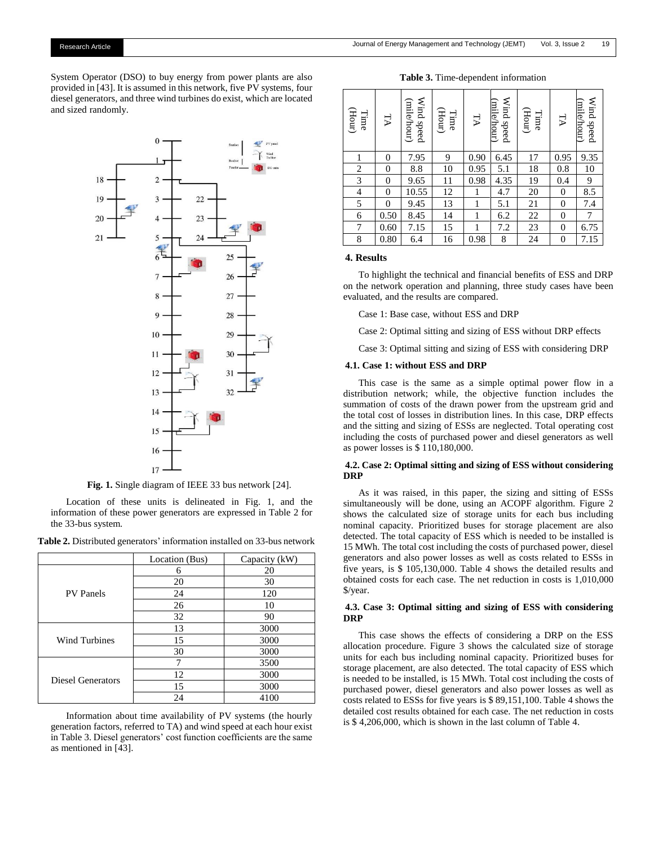**Table 3.** Time-dependent information

System Operator (DSO) to buy energy from power plants are also provided in [43]. It is assumed in this network, five PV systems, four diesel generators, and three wind turbines do exist, which are located and sized randomly.



**Fig. 1.** Single diagram of IEEE 33 bus network [24].

Location of these units is delineated in Fig. 1, and the information of these power generators are expressed in Table 2 for the 33-bus system.

|  | Table 2. Distributed generators' information installed on 33-bus network |
|--|--------------------------------------------------------------------------|
|--|--------------------------------------------------------------------------|

|                      | Location (Bus) | Capacity (kW) |
|----------------------|----------------|---------------|
|                      | 6              | 20            |
|                      | 20             | 30            |
| <b>PV</b> Panels     | 24             | 120           |
|                      | 26             | 10            |
|                      | 32             | 90            |
|                      | 13             | 3000          |
| <b>Wind Turbines</b> | 15             | 3000          |
|                      | 30             | 3000          |
|                      |                | 3500          |
| Diesel Generators    | 12             | 3000          |
|                      | 15             | 3000          |
|                      | 24             | 4100          |

Information about time availability of PV systems (the hourly generation factors, referred to TA) and wind speed at each hour exist in Table 3. Diesel generators' cost function coefficients are the same as mentioned in [43].

| (Hour)<br>Time | TА               | Wind speed<br>(mile/hour) | (Hour)<br>Time | ΤA   | Wind speed<br>(mile/hour) | (Hour)<br>Time | РT             | Wind speed<br>milehour) |
|----------------|------------------|---------------------------|----------------|------|---------------------------|----------------|----------------|-------------------------|
| 1              | $\overline{0}$   | 7.95                      | 9              | 0.90 | 6.45                      | 17             | 0.95           | 9.35                    |
| 2              | $\boldsymbol{0}$ | 8.8                       | 10             | 0.95 | 5.1                       | 18             | 0.8            | 10                      |
| 3              | $\boldsymbol{0}$ | 9.65                      | 11             | 0.98 | 4.35                      | 19             | 0.4            | 9                       |
| 4              | $\overline{0}$   | 10.55                     | 12             | 1    | 4.7                       | 20             | $\theta$       | 8.5                     |
| 5              | $\overline{0}$   | 9.45                      | 13             | 1    | 5.1                       | 21             | $\theta$       | 7.4                     |
| 6              | 0.50             | 8.45                      | 14             | 1    | 6.2                       | 22             | $\theta$       | 7                       |
| 7              | 0.60             | 7.15                      | 15             | 1    | 7.2                       | 23             | $\theta$       | 6.75                    |
| 8              | 0.80             | 6.4                       | 16             | 0.98 | 8                         | 24             | $\overline{0}$ | 7.15                    |

## **4. Results**

To highlight the technical and financial benefits of ESS and DRP on the network operation and planning, three study cases have been evaluated, and the results are compared.

Case 1: Base case, without ESS and DRP

Case 2: Optimal sitting and sizing of ESS without DRP effects

Case 3: Optimal sitting and sizing of ESS with considering DRP

#### **4.1. Case 1: without ESS and DRP**

This case is the same as a simple optimal power flow in a distribution network; while, the objective function includes the summation of costs of the drawn power from the upstream grid and the total cost of losses in distribution lines. In this case, DRP effects and the sitting and sizing of ESSs are neglected. Total operating cost including the costs of purchased power and diesel generators as well as power losses is \$ 110,180,000.

## **4.2. Case 2: Optimal sitting and sizing of ESS without considering DRP**

As it was raised, in this paper, the sizing and sitting of ESSs simultaneously will be done, using an ACOPF algorithm. Figure 2 shows the calculated size of storage units for each bus including nominal capacity. Prioritized buses for storage placement are also detected. The total capacity of ESS which is needed to be installed is 15 MWh. The total cost including the costs of purchased power, diesel generators and also power losses as well as costs related to ESSs in five years, is \$ 105,130,000. Table 4 shows the detailed results and obtained costs for each case. The net reduction in costs is 1,010,000 \$/year.

## **4.3. Case 3: Optimal sitting and sizing of ESS with considering DRP**

This case shows the effects of considering a DRP on the ESS allocation procedure. Figure 3 shows the calculated size of storage units for each bus including nominal capacity. Prioritized buses for storage placement, are also detected. The total capacity of ESS which is needed to be installed, is 15 MWh. Total cost including the costs of purchased power, diesel generators and also power losses as well as costs related to ESSs for five years is \$ 89,151,100. Table 4 shows the detailed cost results obtained for each case. The net reduction in costs is \$ 4,206,000, which is shown in the last column of Table 4.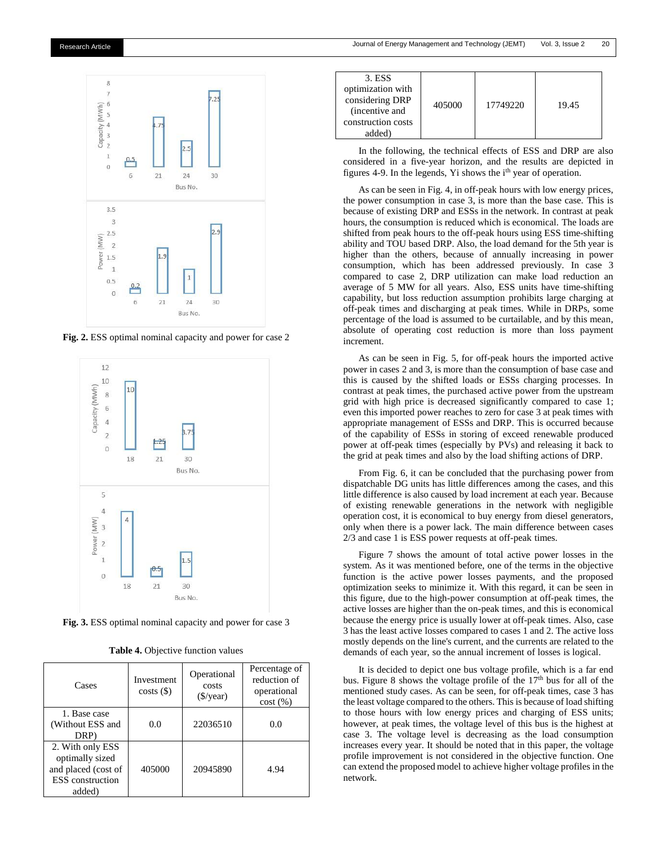



**Fig. 2.** ESS optimal nominal capacity and power for case 2



**Fig. 3.** ESS optimal nominal capacity and power for case 3

| Cases                                                                                           | Investment<br>costs() | Operational<br>costs<br>$(\frac{\sqrt{2}}{2})$ | Percentage of<br>reduction of<br>operational<br>cost(%) |
|-------------------------------------------------------------------------------------------------|-----------------------|------------------------------------------------|---------------------------------------------------------|
| 1. Base case<br>(Without ESS and<br>DRP)                                                        | 0.0                   | 22036510                                       | 0.0                                                     |
| 2. With only ESS<br>optimally sized<br>and placed (cost of<br><b>ESS</b> construction<br>added) | 405000                | 20945890                                       | 4.94                                                    |

| 3. ESS<br>optimization with<br>considering DRP<br>(incentive and)<br>construction costs<br>added) | 405000 | 17749220 | 19.45 |
|---------------------------------------------------------------------------------------------------|--------|----------|-------|
|---------------------------------------------------------------------------------------------------|--------|----------|-------|

In the following, the technical effects of ESS and DRP are also considered in a five-year horizon, and the results are depicted in figures 4-9. In the legends, Yi shows the i<sup>th</sup> year of operation.

As can be seen in Fig. 4, in off-peak hours with low energy prices, the power consumption in case 3, is more than the base case. This is because of existing DRP and ESSs in the network. In contrast at peak hours, the consumption is reduced which is economical. The loads are shifted from peak hours to the off-peak hours using ESS time-shifting ability and TOU based DRP. Also, the load demand for the 5th year is higher than the others, because of annually increasing in power consumption, which has been addressed previously. In case 3 compared to case 2, DRP utilization can make load reduction an average of 5 MW for all years. Also, ESS units have time-shifting capability, but loss reduction assumption prohibits large charging at off-peak times and discharging at peak times. While in DRPs, some percentage of the load is assumed to be curtailable, and by this mean, absolute of operating cost reduction is more than loss payment increment.

As can be seen in Fig. 5, for off-peak hours the imported active power in cases 2 and 3, is more than the consumption of base case and this is caused by the shifted loads or ESSs charging processes. In contrast at peak times, the purchased active power from the upstream grid with high price is decreased significantly compared to case 1; even this imported power reaches to zero for case 3 at peak times with appropriate management of ESSs and DRP. This is occurred because of the capability of ESSs in storing of exceed renewable produced power at off-peak times (especially by PVs) and releasing it back to the grid at peak times and also by the load shifting actions of DRP.

From Fig. 6, it can be concluded that the purchasing power from dispatchable DG units has little differences among the cases, and this little difference is also caused by load increment at each year. Because of existing renewable generations in the network with negligible operation cost, it is economical to buy energy from diesel generators, only when there is a power lack. The main difference between cases 2/3 and case 1 is ESS power requests at off-peak times.

Figure 7 shows the amount of total active power losses in the system. As it was mentioned before, one of the terms in the objective function is the active power losses payments, and the proposed optimization seeks to minimize it. With this regard, it can be seen in this figure, due to the high-power consumption at off-peak times, the active losses are higher than the on-peak times, and this is economical because the energy price is usually lower at off-peak times. Also, case 3 has the least active losses compared to cases 1 and 2. The active loss mostly depends on the line's current, and the currents are related to the demands of each year, so the annual increment of losses is logical.

It is decided to depict one bus voltage profile, which is a far end bus. Figure 8 shows the voltage profile of the  $17<sup>th</sup>$  bus for all of the mentioned study cases. As can be seen, for off-peak times, case 3 has the least voltage compared to the others. This is because of load shifting to those hours with low energy prices and charging of ESS units; however, at peak times, the voltage level of this bus is the highest at case 3. The voltage level is decreasing as the load consumption increases every year. It should be noted that in this paper, the voltage profile improvement is not considered in the objective function. One can extend the proposed model to achieve higher voltage profiles in the network.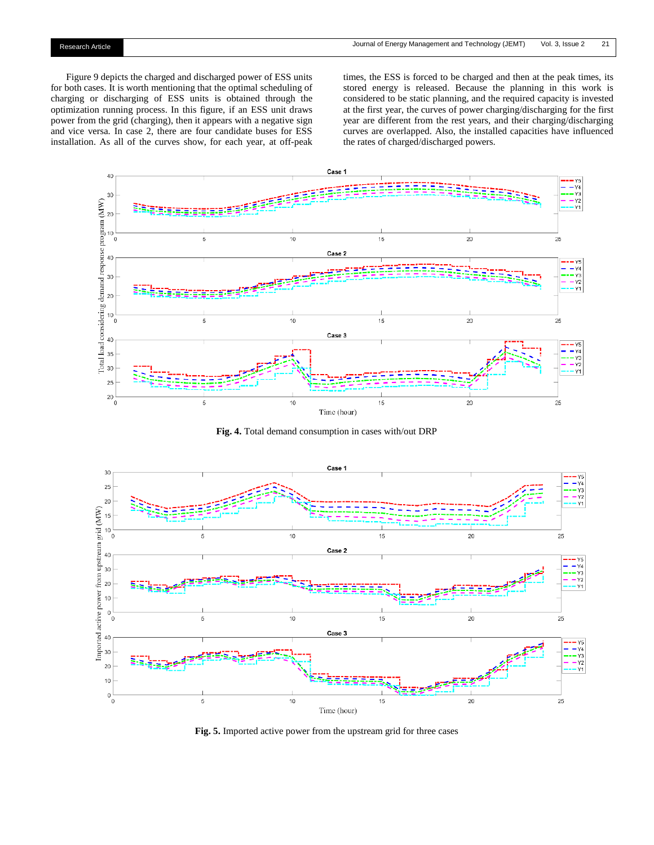Figure 9 depicts the charged and discharged power of ESS units for both cases. It is worth mentioning that the optimal scheduling of charging or discharging of ESS units is obtained through the optimization running process. In this figure, if an ESS unit draws power from the grid (charging), then it appears with a negative sign and vice versa. In case 2, there are four candidate buses for ESS installation. As all of the curves show, for each year, at off-peak

times, the ESS is forced to be charged and then at the peak times, its stored energy is released. Because the planning in this work is considered to be static planning, and the required capacity is invested at the first year, the curves of power charging/discharging for the first year are different from the rest years, and their charging/discharging curves are overlapped. Also, the installed capacities have influenced the rates of charged/discharged powers.



**Fig. 4.** Total demand consumption in cases with/out DRP



**Fig. 5.** Imported active power from the upstream grid for three cases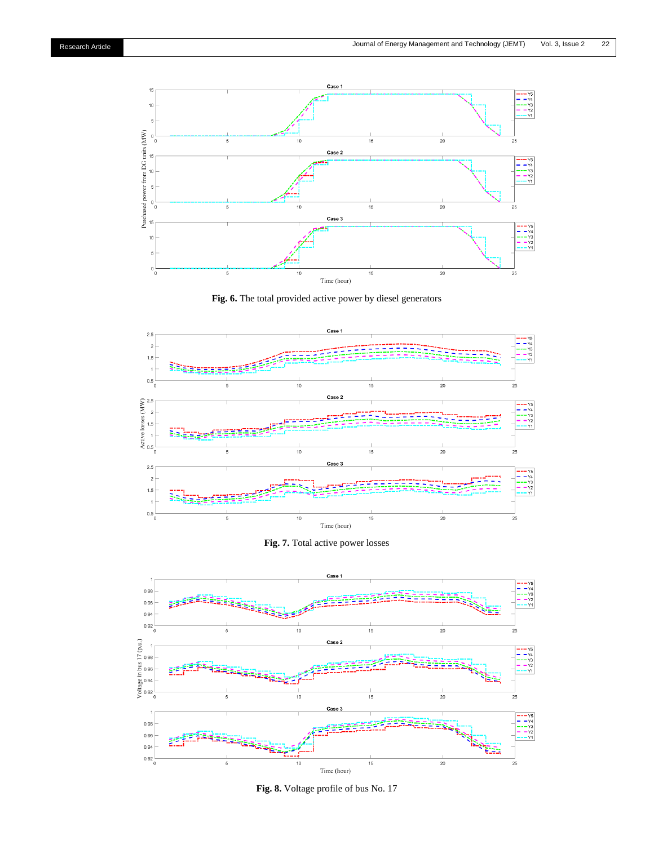

**Fig. 6.** The total provided active power by diesel generators







**Fig. 8.** Voltage profile of bus No. 17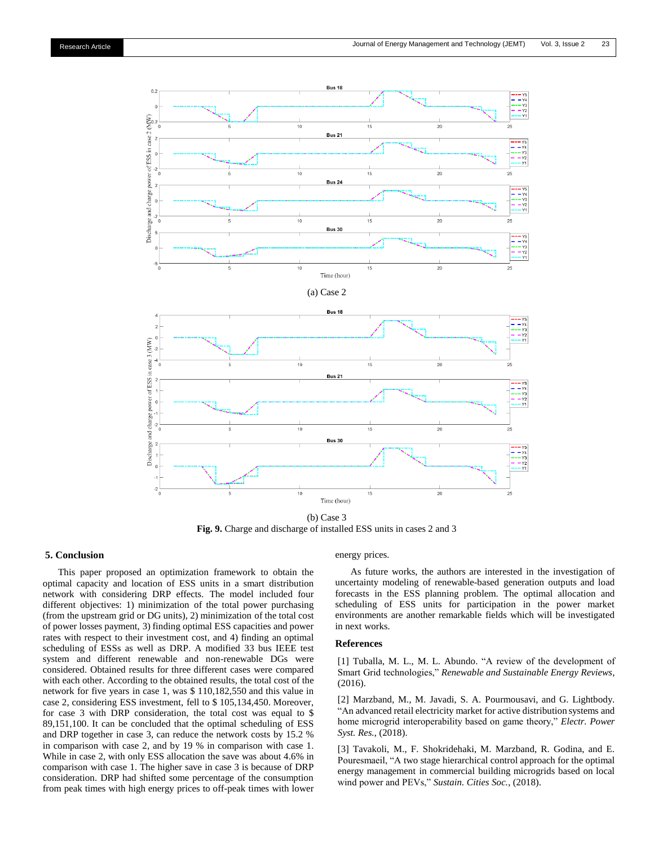

(b) Case 3 **Fig. 9.** Charge and discharge of installed ESS units in cases 2 and 3

## **5. Conclusion**

This paper proposed an optimization framework to obtain the optimal capacity and location of ESS units in a smart distribution network with considering DRP effects. The model included four different objectives: 1) minimization of the total power purchasing (from the upstream grid or DG units), 2) minimization of the total cost of power losses payment, 3) finding optimal ESS capacities and power rates with respect to their investment cost, and 4) finding an optimal scheduling of ESSs as well as DRP. A modified 33 bus IEEE test system and different renewable and non-renewable DGs were considered. Obtained results for three different cases were compared with each other. According to the obtained results, the total cost of the network for five years in case 1, was \$ 110,182,550 and this value in case 2, considering ESS investment, fell to \$ 105,134,450. Moreover, for case 3 with DRP consideration, the total cost was equal to \$ 89,151,100. It can be concluded that the optimal scheduling of ESS and DRP together in case 3, can reduce the network costs by 15.2 % in comparison with case 2, and by 19 % in comparison with case 1. While in case 2, with only ESS allocation the save was about 4.6% in comparison with case 1. The higher save in case 3 is because of DRP consideration. DRP had shifted some percentage of the consumption from peak times with high energy prices to off-peak times with lower

#### energy prices.

As future works, the authors are interested in the investigation of uncertainty modeling of renewable-based generation outputs and load forecasts in the ESS planning problem. The optimal allocation and scheduling of ESS units for participation in the power market environments are another remarkable fields which will be investigated in next works.

## **References**

[1] Tuballa, M. L., M. L. Abundo. "A review of the development of Smart Grid technologies," *Renewable and Sustainable Energy Reviews*, (2016).

[2] Marzband, M., M. Javadi, S. A. Pourmousavi, and G. Lightbody. "An advanced retail electricity market for active distribution systems and home microgrid interoperability based on game theory," *Electr. Power Syst. Res.*, (2018).

[3] Tavakoli, M., F. Shokridehaki, M. Marzband, R. Godina, and E. Pouresmaeil, "A two stage hierarchical control approach for the optimal energy management in commercial building microgrids based on local wind power and PEVs," *Sustain. Cities Soc.*, (2018).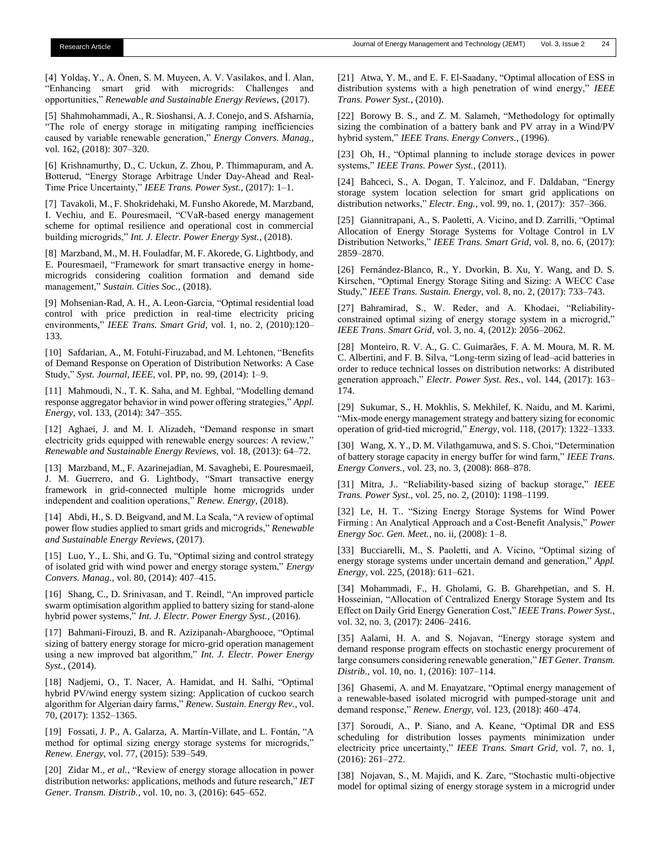[4] Yoldaş, Y.[, A. Önen,](https://scholar.google.com/citations?user=km3Es-cAAAAJ&hl=en&oi=sra) S. M. Muyeen, A. V. Vasilakos, and İ. Alan, "Enhancing smart grid with microgrids: Challenges and opportunities," *Renewable and Sustainable Energy Reviews*, (2017).

[5] Shahmohammadi, A., R. Sioshansi, A. J. Conejo, and S. Afsharnia, "The role of energy storage in mitigating ramping inefficiencies caused by variable renewable generation," *Energy Convers. Manag.*, vol. 162, (2018): 307–320.

[6] Krishnamurthy, D., C. Uckun, Z. Zhou, P. Thimmapuram, and A. Botterud, "Energy Storage Arbitrage Under Day-Ahead and Real-Time Price Uncertainty," *IEEE Trans. Power Syst.*, (2017): 1–1.

[7] Tavakoli, M., F. Shokridehaki, M. Funsho Akorede, M. Marzband, I. Vechiu, and E. Pouresmaeil, "CVaR-based energy management scheme for optimal resilience and operational cost in commercial building microgrids," *Int. J. Electr. Power Energy Syst.*, (2018).

[8] Marzband, M., M. H. Fouladfar, M. F. Akorede, G. Lightbody, and E. Pouresmaeil, "Framework for smart transactive energy in homemicrogrids considering coalition formation and demand side management," *Sustain. Cities Soc.*, (2018).

[9] Mohsenian-Rad, A. H., A. Leon-Garcia, "Optimal residential load control with price prediction in real-time electricity pricing environments," *IEEE Trans. Smart Grid*, vol. 1, no. 2, (2010):120– 133.

[10] Safdarian, A., M. Fotuhi-Firuzabad, and M. Lehtonen, "Benefits of Demand Response on Operation of Distribution Networks: A Case Study," *Syst. Journal, IEEE*, vol. PP, no. 99, (2014): 1–9.

[11] Mahmoudi, N., T. K. Saha, and M. Eghbal, "Modelling demand response aggregator behavior in wind power offering strategies," *Appl. Energy*, vol. 133, (2014): 347–355.

[12] Aghaei, J. and M. I. Alizadeh, "Demand response in smart electricity grids equipped with renewable energy sources: A review," *Renewable and Sustainable Energy Reviews*, vol. 18, (2013): 64–72.

[13] Marzband, M., F. Azarinejadian, M. Savaghebi, E. Pouresmaeil, J. M. Guerrero, and G. Lightbody, "Smart transactive energy framework in grid-connected multiple home microgrids under independent and coalition operations," *Renew. Energy*, (2018).

[14] Abdi, H., S. D. Beigvand, and M. La Scala, "A review of optimal power flow studies applied to smart grids and microgrids," *Renewable and Sustainable Energy Reviews*, (2017).

[15] Luo, Y., L. Shi, and G. Tu, "Optimal sizing and control strategy of isolated grid with wind power and energy storage system," *Energy Convers. Manag.*, vol. 80, (2014): 407–415.

[16] Shang, C., D. Srinivasan, and T. Reindl, "An improved particle swarm optimisation algorithm applied to battery sizing for stand-alone hybrid power systems," *Int. J. Electr. Power Energy Syst.*, (2016).

[17] Bahmani-Firouzi, B. and R. Azizipanah-Abarghooee, "Optimal sizing of battery energy storage for micro-grid operation management using a new improved bat algorithm," *Int. J. Electr. Power Energy Syst.*, (2014).

[18] Nadjemi, O., T. Nacer, A. Hamidat, and H. Salhi, "Optimal hybrid PV/wind energy system sizing: Application of cuckoo search algorithm for Algerian dairy farms," *Renew. Sustain. Energy Rev.*, vol. 70, (2017): 1352–1365.

[19] Fossati, J. P., A. Galarza, A. Martín-Villate, and L. Fontán, "A method for optimal sizing energy storage systems for microgrids," *Renew. Energy*, vol. 77, (2015): 539–549.

[20] Zidar M., *et al.*, "Review of energy storage allocation in power distribution networks: applications, methods and future research," *IET Gener. Transm. Distrib.*, vol. 10, no. 3, (2016): 645–652.

[21] Atwa, Y. M., and E. F. El-Saadany, "Optimal allocation of ESS in distribution systems with a high penetration of wind energy," *IEEE Trans. Power Syst.*, (2010).

[22] Borowy B. S., and Z. M. Salameh, "Methodology for optimally sizing the combination of a battery bank and PV array in a Wind/PV hybrid system," *IEEE Trans. Energy Convers.*, (1996).

[23] Oh, H., "Optimal planning to include storage devices in power systems," *IEEE Trans. Power Syst.*, (2011).

[24] Bahceci, S., A. Dogan, T. Yalcinoz, and F. Daldaban, "Energy storage system location selection for smart grid applications on distribution networks," *Electr. Eng.*, vol. 99, no. 1, (2017): 357–366.

[25] Giannitrapani, A., S. Paoletti, A. Vicino, and D. Zarrilli, "Optimal Allocation of Energy Storage Systems for Voltage Control in LV Distribution Networks," *IEEE Trans. Smart Grid*, vol. 8, no. 6, (2017): 2859–2870.

[26] Fernández-Blanco, R., Y. Dvorkin, B. Xu, Y. Wang, and D. S. Kirschen, "Optimal Energy Storage Siting and Sizing: A WECC Case Study," *IEEE Trans. Sustain. Energy*, vol. 8, no. 2, (2017): 733–743.

[27] Bahramirad, S., W. Reder, and A. Khodaei, "Reliabilityconstrained optimal sizing of energy storage system in a microgrid," *IEEE Trans. Smart Grid*, vol. 3, no. 4, (2012): 2056–2062.

[28] Monteiro, R. V. A., G. C. Guimarães, F. A. M. Moura, M. R. M. C. Albertini, and F. B. Silva, "Long-term sizing of lead–acid batteries in order to reduce technical losses on distribution networks: A distributed generation approach," *Electr. Power Syst. Res.*, vol. 144, (2017): 163– 174.

[29] Sukumar, S., H. Mokhlis, S. Mekhilef, K. Naidu, and M. Karimi, "Mix-mode energy management strategy and battery sizing for economic operation of grid-tied microgrid," *Energy*, vol. 118, (2017): 1322–1333.

[30] Wang, X. Y., D. M. Vilathgamuwa, and S. S. Choi, "Determination of battery storage capacity in energy buffer for wind farm," *IEEE Trans. Energy Convers.*, vol. 23, no. 3, (2008): 868–878.

[31] Mitra, J.. "Reliability-based sizing of backup storage," *IEEE Trans. Power Syst.*, vol. 25, no. 2, (2010): 1198–1199.

[32] Le, H. T.. "Sizing Energy Storage Systems for Wind Power Firming : An Analytical Approach and a Cost-Benefit Analysis," *Power Energy Soc. Gen. Meet.*, no. ii, (2008): 1–8.

[33] Bucciarelli, M., S. Paoletti, and A. Vicino, "Optimal sizing of energy storage systems under uncertain demand and generation," *Appl. Energy*, vol. 225, (2018): 611–621.

[34] Mohammadi, F., H. Gholami, G. B. Gharehpetian, and S. H. Hosseinian, "Allocation of Centralized Energy Storage System and Its Effect on Daily Grid Energy Generation Cost," *IEEE Trans. Power Syst.*, vol. 32, no. 3, (2017): 2406–2416.

[35] Aalami, H. A. and S. Nojavan, "Energy storage system and demand response program effects on stochastic energy procurement of large consumers considering renewable generation," *IET Gener. Transm. Distrib.*, vol. 10, no. 1, (2016): 107–114.

[36] Ghasemi, A. and M. Enayatzare, "Optimal energy management of a renewable-based isolated microgrid with pumped-storage unit and demand response," *Renew. Energy*, vol. 123, (2018): 460–474.

[37] Soroudi, A., P. Siano, and A. Keane, "Optimal DR and ESS scheduling for distribution losses payments minimization under electricity price uncertainty," *IEEE Trans. Smart Grid*, vol. 7, no. 1, (2016): 261–272.

[38] Nojavan, S., M. Majidi, and K. Zare, "Stochastic multi-objective model for optimal sizing of energy storage system in a microgrid under